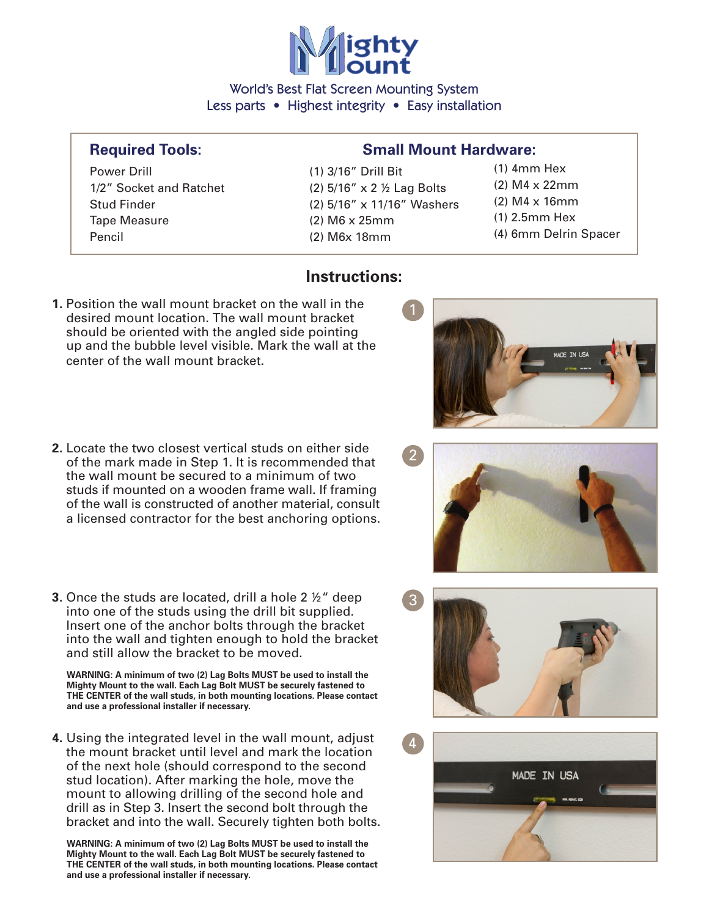

World's Best Flat Screen Mounting System Less parts • Highest integrity • Easy installation

**Instructions:** 

Power Drill (1) 3/16" Drill Bit 1/2" Socket and Ratchet  $(2)$  5/16" x 2  $\frac{1}{2}$  Lag Bolts Tape Measure (2) M6 x 25mm Pencil (2) M6x 18mm

## **Required Tools: Small Mount Hardware:**

- Stud Finder (2) 5/16" x 11/16" Washers
- (1) 4mm Hex (2) M4 x 22mm (2) M4 x 16mm (1) 2.5mm Hex
- (4) 6mm Delrin Spacer

- **1.** Position the wall mount bracket on the wall in the desired mount location. The wall mount bracket should be oriented with the angled side pointing up and the bubble level visible. Mark the wall at the center of the wall mount bracket.
- **2.** Locate the two closest vertical studs on either side of the mark made in Step 1. It is recommended that the wall mount be secured to a minimum of two studs if mounted on a wooden frame wall. If framing of the wall is constructed of another material, consult a licensed contractor for the best anchoring options.
- **3.** Once the studs are located, drill a hole 2 ½" deep into one of the studs using the drill bit supplied. Insert one of the anchor bolts through the bracket into the wall and tighten enough to hold the bracket and still allow the bracket to be moved.

 **WARNING: A minimum of two (2) Lag Bolts MUST be used to install the Mighty Mount to the wall. Each Lag Bolt MUST be securely fastened to THE CENTER of the wall studs, in both mounting locations. Please contact and use a professional installer if necessary.** 

**4.** Using the integrated level in the wall mount, adjust the mount bracket until level and mark the location of the next hole (should correspond to the second stud location). After marking the hole, move the mount to allowing drilling of the second hole and drill as in Step 3. Insert the second bolt through the bracket and into the wall. Securely tighten both bolts.

 **WARNING: A minimum of two (2) Lag Bolts MUST be used to install the Mighty Mount to the wall. Each Lag Bolt MUST be securely fastened to THE CENTER of the wall studs, in both mounting locations. Please contact and use a professional installer if necessary.**